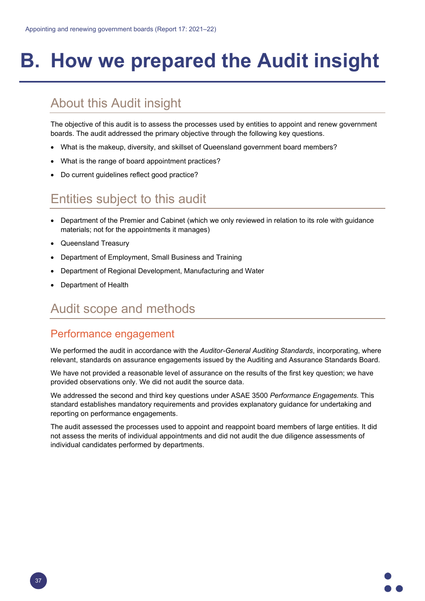# **B. How we prepared the Audit insight**

## About this Audit insight

The objective of this audit is to assess the processes used by entities to appoint and renew government boards. The audit addressed the primary objective through the following key questions.

- What is the makeup, diversity, and skillset of Queensland government board members?
- What is the range of board appointment practices?
- Do current guidelines reflect good practice?

### Entities subject to this audit

- Department of the Premier and Cabinet (which we only reviewed in relation to its role with guidance materials; not for the appointments it manages)
- Queensland Treasury
- Department of Employment, Small Business and Training
- Department of Regional Development, Manufacturing and Water
- Department of Health

#### Audit scope and methods

#### Performance engagement

We performed the audit in accordance with the *Auditor-General Auditing Standards*, incorporating, where relevant, standards on assurance engagements issued by the Auditing and Assurance Standards Board.

We have not provided a reasonable level of assurance on the results of the first key question; we have provided observations only. We did not audit the source data.

We addressed the second and third key questions under ASAE 3500 *Performance Engagements.* This standard establishes mandatory requirements and provides explanatory guidance for undertaking and reporting on performance engagements.

The audit assessed the processes used to appoint and reappoint board members of large entities. It did not assess the merits of individual appointments and did not audit the due diligence assessments of individual candidates performed by departments.